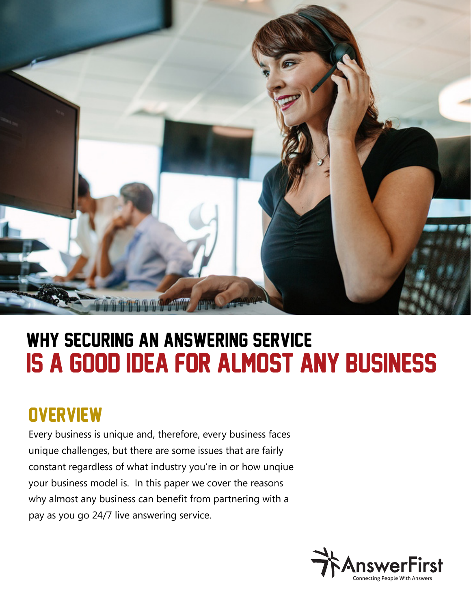

# is a good idea for almost any business why securing an answering service

## **OVERVIEW**

Every business is unique and, therefore, every business faces unique challenges, but there are some issues that are fairly constant regardless of what industry you're in or how unqiue your business model is. In this paper we cover the reasons why almost any business can benefit from partnering with a pay as you go 24/7 live answering service.

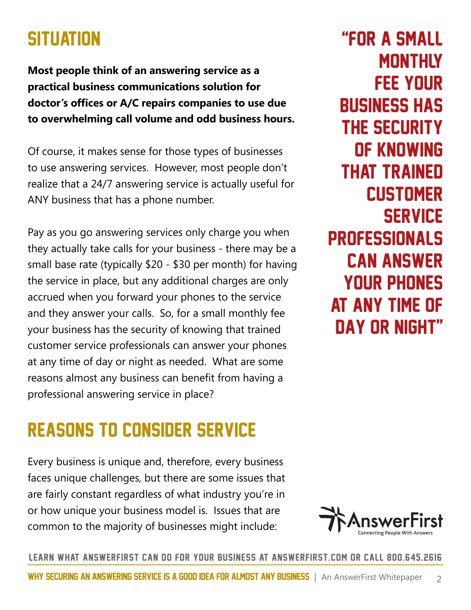### **SITUATION**

**Most people think of an answering service as a practical business communications solution for doctor's offices or A/C repairs companies to use due to overwhelming call volume and odd business hours.** 

Of course, it makes sense for those types of businesses to use answering services. However, most people don't realize that a 24/7 answering service is actually useful for ANY business that has a phone number.

Pay as you go answering services only charge you when they actually take calls for your business - there may be a small base rate (typically \$20 - \$30 per month) for having the service in place, but any additional charges are only accrued when you forward your phones to the service and they answer your calls. So, for a small monthly fee your business has the security of knowing that trained customer service professionals can answer your phones at any time of day or night as needed. What are some reasons almost any business can benefit from having a professional answering service in place?

### Reasons to consider service

Every business is unique and, therefore, every business faces unique challenges, but there are some issues that are fairly constant regardless of what industry you're in or how unique your business model is. Issues that are common to the majority of businesses might include:

"for a small **MONTHLY** fee your business has the security of knowing that trained **CUSTOMER SERVICE PROFESSIONALS** can answer your phones at any time of day or night"

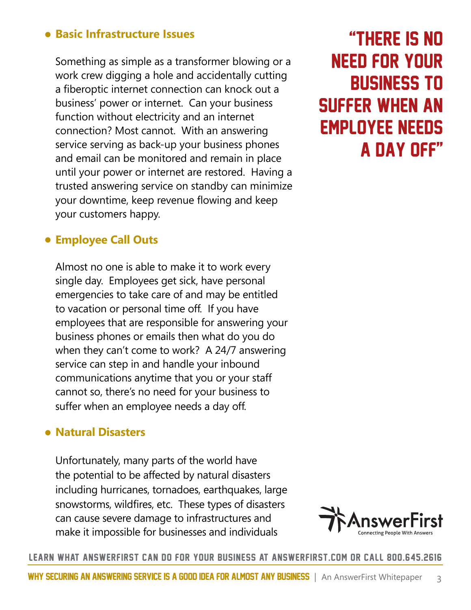#### • **Basic Infrastructure Issues**

Something as simple as a transformer blowing or a work crew digging a hole and accidentally cutting a fiberoptic internet connection can knock out a business' power or internet. Can your business function without electricity and an internet connection? Most cannot. With an answering service serving as back-up your business phones and email can be monitored and remain in place until your power or internet are restored. Having a trusted answering service on standby can minimize your downtime, keep revenue flowing and keep your customers happy.

### "There is no need for your business to suffer when an employee needs a day off"

#### • **Employee Call Outs**

Almost no one is able to make it to work every single day. Employees get sick, have personal emergencies to take care of and may be entitled to vacation or personal time off. If you have employees that are responsible for answering your business phones or emails then what do you do when they can't come to work? A 24/7 answering service can step in and handle your inbound communications anytime that you or your staff cannot so, there's no need for your business to suffer when an employee needs a day off.

#### • **Natural Disasters**

Unfortunately, many parts of the world have the potential to be affected by natural disasters including hurricanes, tornadoes, earthquakes, large snowstorms, wildfires, etc. These types of disasters can cause severe damage to infrastructures and make it impossible for businesses and individuals

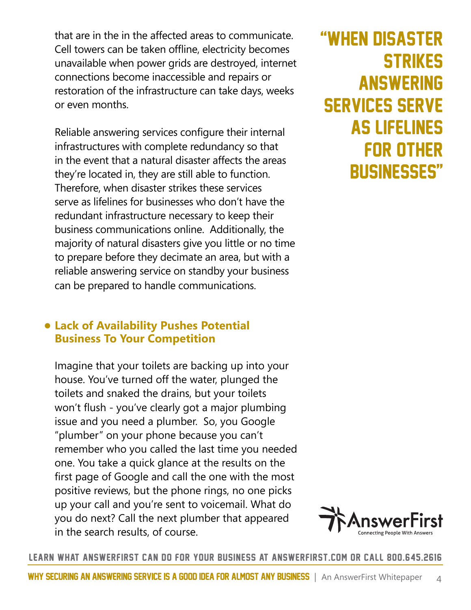that are in the in the affected areas to communicate. Cell towers can be taken offline, electricity becomes unavailable when power grids are destroyed, internet connections become inaccessible and repairs or restoration of the infrastructure can take days, weeks or even months.

Reliable answering services configure their internal infrastructures with complete redundancy so that in the event that a natural disaster affects the areas they're located in, they are still able to function. Therefore, when disaster strikes these services serve as lifelines for businesses who don't have the redundant infrastructure necessary to keep their business communications online. Additionally, the majority of natural disasters give you little or no time to prepare before they decimate an area, but with a reliable answering service on standby your business can be prepared to handle communications.

#### • **Lack of Availability Pushes Potential Business To Your Competition**

Imagine that your toilets are backing up into your house. You've turned off the water, plunged the toilets and snaked the drains, but your toilets won't flush - you've clearly got a major plumbing issue and you need a plumber. So, you Google "plumber" on your phone because you can't remember who you called the last time you needed one. You take a quick glance at the results on the first page of Google and call the one with the most positive reviews, but the phone rings, no one picks up your call and you're sent to voicemail. What do you do next? Call the next plumber that appeared in the search results, of course.

### "when disaster **STRIKES ANSWERING** services serve as lifelines for other businesses"